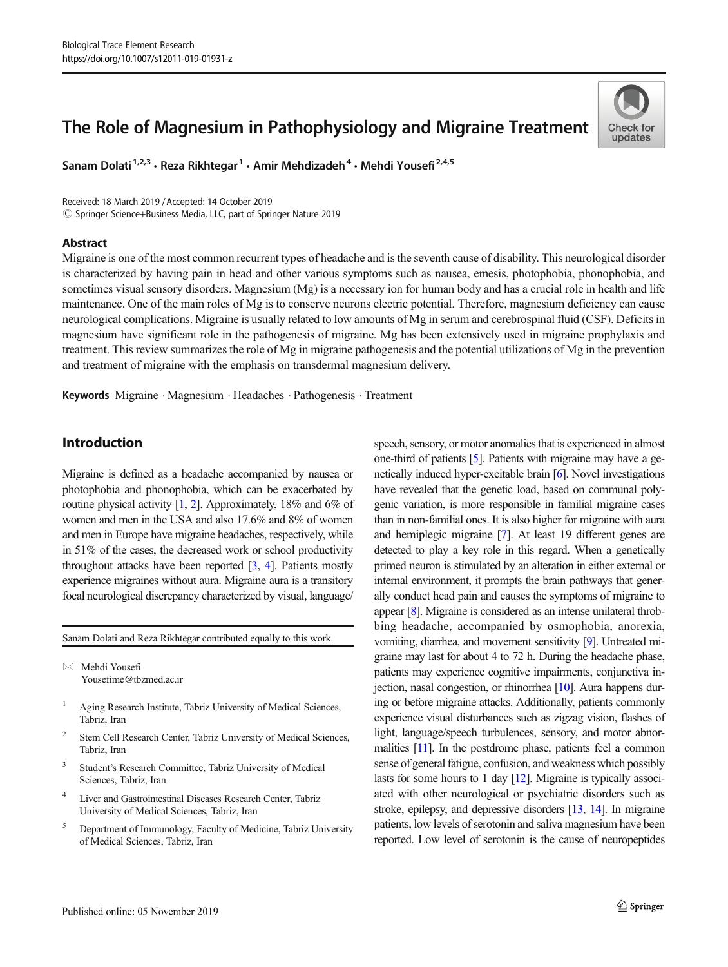# The Role of Magnesium in Pathophysiology and Migraine Treatment

Sanam Dolati<sup>1,2,3</sup> · Reza Rikhtegar<sup>1</sup> · Amir Mehdizadeh<sup>4</sup> · Mehdi Yousefi<sup>2,4,5</sup>

Received: 18 March 2019 /Accepted: 14 October 2019  $\copyright$  Springer Science+Business Media, LLC, part of Springer Nature 2019

#### Abstract



Migraine is one of the most common recurrent types of headache and is the seventh cause of disability. This neurological disorder is characterized by having pain in head and other various symptoms such as nausea, emesis, photophobia, phonophobia, and sometimes visual sensory disorders. Magnesium (Mg) is a necessary ion for human body and has a crucial role in health and life maintenance. One of the main roles of Mg is to conserve neurons electric potential. Therefore, magnesium deficiency can cause neurological complications. Migraine is usually related to low amounts of Mg in serum and cerebrospinal fluid (CSF). Deficits in magnesium have significant role in the pathogenesis of migraine. Mg has been extensively used in migraine prophylaxis and treatment. This review summarizes the role of Mg in migraine pathogenesis and the potential utilizations of Mg in the prevention and treatment of migraine with the emphasis on transdermal magnesium delivery.

Keywords Migraine . Magnesium . Headaches . Pathogenesis . Treatment

# Introduction

Migraine is defined as a headache accompanied by nausea or photophobia and phonophobia, which can be exacerbated by routine physical activity [\[1,](#page-6-0) [2\]](#page-6-0). Approximately, 18% and 6% of women and men in the USA and also 17.6% and 8% of women and men in Europe have migraine headaches, respectively, while in 51% of the cases, the decreased work or school productivity throughout attacks have been reported  $[3, 4]$  $[3, 4]$  $[3, 4]$  $[3, 4]$ . Patients mostly experience migraines without aura. Migraine aura is a transitory focal neurological discrepancy characterized by visual, language/

Sanam Dolati and Reza Rikhtegar contributed equally to this work.

 $\boxtimes$  Mehdi Yousefi [Yousefime@tbzmed.ac.ir](mailto:Yousefime@tbzmed.ac.ir)

- <sup>1</sup> Aging Research Institute, Tabriz University of Medical Sciences, Tabriz, Iran
- <sup>2</sup> Stem Cell Research Center, Tabriz University of Medical Sciences, Tabriz, Iran
- <sup>3</sup> Student's Research Committee, Tabriz University of Medical Sciences, Tabriz, Iran
- <sup>4</sup> Liver and Gastrointestinal Diseases Research Center, Tabriz University of Medical Sciences, Tabriz, Iran
- <sup>5</sup> Department of Immunology, Faculty of Medicine, Tabriz University of Medical Sciences, Tabriz, Iran

speech, sensory, or motor anomalies that is experienced in almost one-third of patients [\[5\]](#page-6-0). Patients with migraine may have a genetically induced hyper-excitable brain [[6](#page-6-0)]. Novel investigations have revealed that the genetic load, based on communal polygenic variation, is more responsible in familial migraine cases than in non-familial ones. It is also higher for migraine with aura and hemiplegic migraine [\[7\]](#page-6-0). At least 19 different genes are detected to play a key role in this regard. When a genetically primed neuron is stimulated by an alteration in either external or internal environment, it prompts the brain pathways that generally conduct head pain and causes the symptoms of migraine to appear [\[8\]](#page-6-0). Migraine is considered as an intense unilateral throbbing headache, accompanied by osmophobia, anorexia, vomiting, diarrhea, and movement sensitivity [\[9\]](#page-6-0). Untreated migraine may last for about 4 to 72 h. During the headache phase, patients may experience cognitive impairments, conjunctiva injection, nasal congestion, or rhinorrhea [\[10](#page-6-0)]. Aura happens during or before migraine attacks. Additionally, patients commonly experience visual disturbances such as zigzag vision, flashes of light, language/speech turbulences, sensory, and motor abnormalities [\[11](#page-6-0)]. In the postdrome phase, patients feel a common sense of general fatigue, confusion, and weakness which possibly lasts for some hours to 1 day [\[12\]](#page-6-0). Migraine is typically associated with other neurological or psychiatric disorders such as stroke, epilepsy, and depressive disorders [\[13](#page-6-0), [14](#page-6-0)]. In migraine patients, low levels of serotonin and saliva magnesium have been reported. Low level of serotonin is the cause of neuropeptides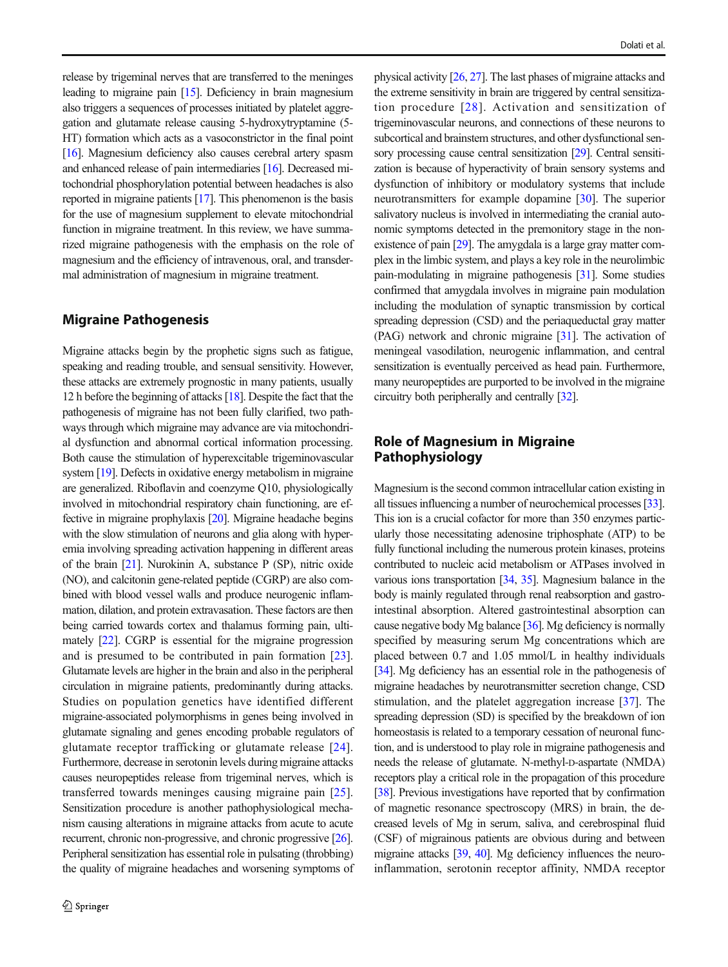release by trigeminal nerves that are transferred to the meninges leading to migraine pain [\[15](#page-6-0)]. Deficiency in brain magnesium also triggers a sequences of processes initiated by platelet aggregation and glutamate release causing 5-hydroxytryptamine (5- HT) formation which acts as a vasoconstrictor in the final point [\[16](#page-6-0)]. Magnesium deficiency also causes cerebral artery spasm and enhanced release of pain intermediaries [\[16\]](#page-6-0). Decreased mitochondrial phosphorylation potential between headaches is also reported in migraine patients [\[17](#page-6-0)]. This phenomenon is the basis for the use of magnesium supplement to elevate mitochondrial function in migraine treatment. In this review, we have summarized migraine pathogenesis with the emphasis on the role of magnesium and the efficiency of intravenous, oral, and transdermal administration of magnesium in migraine treatment.

#### Migraine Pathogenesis

Migraine attacks begin by the prophetic signs such as fatigue, speaking and reading trouble, and sensual sensitivity. However, these attacks are extremely prognostic in many patients, usually 12 h before the beginning of attacks [\[18](#page-6-0)]. Despite the fact that the pathogenesis of migraine has not been fully clarified, two pathways through which migraine may advance are via mitochondrial dysfunction and abnormal cortical information processing. Both cause the stimulation of hyperexcitable trigeminovascular system [\[19](#page-6-0)]. Defects in oxidative energy metabolism in migraine are generalized. Riboflavin and coenzyme Q10, physiologically involved in mitochondrial respiratory chain functioning, are effective in migraine prophylaxis [\[20\]](#page-6-0). Migraine headache begins with the slow stimulation of neurons and glia along with hyperemia involving spreading activation happening in different areas of the brain [[21\]](#page-6-0). Nurokinin A, substance P (SP), nitric oxide (NO), and calcitonin gene-related peptide (CGRP) are also combined with blood vessel walls and produce neurogenic inflammation, dilation, and protein extravasation. These factors are then being carried towards cortex and thalamus forming pain, ultimately [[22](#page-6-0)]. CGRP is essential for the migraine progression and is presumed to be contributed in pain formation [[23](#page-6-0)]. Glutamate levels are higher in the brain and also in the peripheral circulation in migraine patients, predominantly during attacks. Studies on population genetics have identified different migraine-associated polymorphisms in genes being involved in glutamate signaling and genes encoding probable regulators of glutamate receptor trafficking or glutamate release [[24](#page-6-0)]. Furthermore, decrease in serotonin levels during migraine attacks causes neuropeptides release from trigeminal nerves, which is transferred towards meninges causing migraine pain [\[25](#page-6-0)]. Sensitization procedure is another pathophysiological mechanism causing alterations in migraine attacks from acute to acute recurrent, chronic non-progressive, and chronic progressive [\[26\]](#page-6-0). Peripheral sensitization has essential role in pulsating (throbbing) the quality of migraine headaches and worsening symptoms of physical activity [\[26](#page-6-0), [27\]](#page-6-0). The last phases of migraine attacks and the extreme sensitivity in brain are triggered by central sensitization procedure [[28\]](#page-6-0). Activation and sensitization of trigeminovascular neurons, and connections of these neurons to subcortical and brainstem structures, and other dysfunctional sensory processing cause central sensitization [\[29\]](#page-6-0). Central sensitization is because of hyperactivity of brain sensory systems and dysfunction of inhibitory or modulatory systems that include neurotransmitters for example dopamine [\[30](#page-6-0)]. The superior salivatory nucleus is involved in intermediating the cranial autonomic symptoms detected in the premonitory stage in the nonexistence of pain [\[29\]](#page-6-0). The amygdala is a large gray matter complex in the limbic system, and plays a key role in the neurolimbic pain-modulating in migraine pathogenesis [\[31\]](#page-6-0). Some studies confirmed that amygdala involves in migraine pain modulation including the modulation of synaptic transmission by cortical spreading depression (CSD) and the periaqueductal gray matter (PAG) network and chronic migraine [[31](#page-6-0)]. The activation of meningeal vasodilation, neurogenic inflammation, and central sensitization is eventually perceived as head pain. Furthermore, many neuropeptides are purported to be involved in the migraine circuitry both peripherally and centrally [\[32](#page-6-0)].

# Role of Magnesium in Migraine Pathophysiology

Magnesium is the second common intracellular cation existing in all tissues influencing a number of neurochemical processes [\[33\]](#page-6-0). This ion is a crucial cofactor for more than 350 enzymes particularly those necessitating adenosine triphosphate (ATP) to be fully functional including the numerous protein kinases, proteins contributed to nucleic acid metabolism or ATPases involved in various ions transportation [[34,](#page-6-0) [35\]](#page-6-0). Magnesium balance in the body is mainly regulated through renal reabsorption and gastrointestinal absorption. Altered gastrointestinal absorption can cause negative body Mg balance [\[36](#page-6-0)]. Mg deficiency is normally specified by measuring serum Mg concentrations which are placed between 0.7 and 1.05 mmol/L in healthy individuals [\[34](#page-6-0)]. Mg deficiency has an essential role in the pathogenesis of migraine headaches by neurotransmitter secretion change, CSD stimulation, and the platelet aggregation increase [[37\]](#page-6-0). The spreading depression (SD) is specified by the breakdown of ion homeostasis is related to a temporary cessation of neuronal function, and is understood to play role in migraine pathogenesis and needs the release of glutamate. N-methyl-D-aspartate (NMDA) receptors play a critical role in the propagation of this procedure [\[38](#page-6-0)]. Previous investigations have reported that by confirmation of magnetic resonance spectroscopy (MRS) in brain, the decreased levels of Mg in serum, saliva, and cerebrospinal fluid (CSF) of migrainous patients are obvious during and between migraine attacks [\[39](#page-6-0), [40\]](#page-6-0). Mg deficiency influences the neuroinflammation, serotonin receptor affinity, NMDA receptor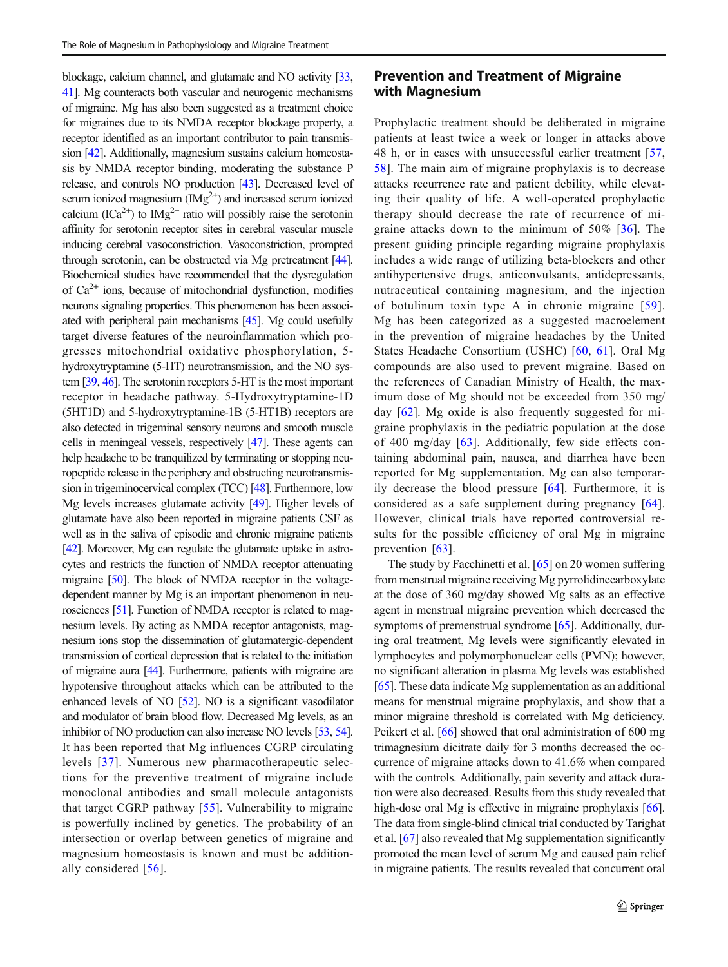blockage, calcium channel, and glutamate and NO activity [\[33,](#page-6-0) [41](#page-6-0)]. Mg counteracts both vascular and neurogenic mechanisms of migraine. Mg has also been suggested as a treatment choice for migraines due to its NMDA receptor blockage property, a receptor identified as an important contributor to pain transmission [\[42\]](#page-7-0). Additionally, magnesium sustains calcium homeostasis by NMDA receptor binding, moderating the substance P release, and controls NO production [\[43\]](#page-7-0). Decreased level of serum ionized magnesium  $(Mg^{2+})$  and increased serum ionized calcium (ICa<sup>2+</sup>) to  $IMg^{2+}$  ratio will possibly raise the serotonin affinity for serotonin receptor sites in cerebral vascular muscle inducing cerebral vasoconstriction. Vasoconstriction, prompted through serotonin, can be obstructed via Mg pretreatment [\[44\]](#page-7-0). Biochemical studies have recommended that the dysregulation of  $Ca^{2+}$  ions, because of mitochondrial dysfunction, modifies neurons signaling properties. This phenomenon has been associated with peripheral pain mechanisms [\[45](#page-7-0)]. Mg could usefully target diverse features of the neuroinflammation which progresses mitochondrial oxidative phosphorylation, 5 hydroxytryptamine (5-HT) neurotransmission, and the NO system [\[39](#page-6-0), [46](#page-7-0)]. The serotonin receptors 5-HT is the most important receptor in headache pathway. 5-Hydroxytryptamine-1D (5HT1D) and 5-hydroxytryptamine-1B (5-HT1B) receptors are also detected in trigeminal sensory neurons and smooth muscle cells in meningeal vessels, respectively [[47\]](#page-7-0). These agents can help headache to be tranquilized by terminating or stopping neuropeptide release in the periphery and obstructing neurotransmission in trigeminocervical complex (TCC) [\[48](#page-7-0)]. Furthermore, low Mg levels increases glutamate activity [\[49\]](#page-7-0). Higher levels of glutamate have also been reported in migraine patients CSF as well as in the saliva of episodic and chronic migraine patients [\[42](#page-7-0)]. Moreover, Mg can regulate the glutamate uptake in astrocytes and restricts the function of NMDA receptor attenuating migraine [\[50\]](#page-7-0). The block of NMDA receptor in the voltagedependent manner by Mg is an important phenomenon in neurosciences [\[51](#page-7-0)]. Function of NMDA receptor is related to magnesium levels. By acting as NMDA receptor antagonists, magnesium ions stop the dissemination of glutamatergic-dependent transmission of cortical depression that is related to the initiation of migraine aura [\[44\]](#page-7-0). Furthermore, patients with migraine are hypotensive throughout attacks which can be attributed to the enhanced levels of NO [\[52\]](#page-7-0). NO is a significant vasodilator and modulator of brain blood flow. Decreased Mg levels, as an inhibitor of NO production can also increase NO levels [\[53,](#page-7-0) [54\]](#page-7-0). It has been reported that Mg influences CGRP circulating levels [\[37\]](#page-6-0). Numerous new pharmacotherapeutic selections for the preventive treatment of migraine include monoclonal antibodies and small molecule antagonists that target CGRP pathway [\[55](#page-7-0)]. Vulnerability to migraine is powerfully inclined by genetics. The probability of an intersection or overlap between genetics of migraine and magnesium homeostasis is known and must be additionally considered [\[56\]](#page-7-0).

### Prevention and Treatment of Migraine with Magnesium

Prophylactic treatment should be deliberated in migraine patients at least twice a week or longer in attacks above 48 h, or in cases with unsuccessful earlier treatment [[57,](#page-7-0) [58](#page-7-0)]. The main aim of migraine prophylaxis is to decrease attacks recurrence rate and patient debility, while elevating their quality of life. A well-operated prophylactic therapy should decrease the rate of recurrence of migraine attacks down to the minimum of 50% [[36](#page-6-0)]. The present guiding principle regarding migraine prophylaxis includes a wide range of utilizing beta-blockers and other antihypertensive drugs, anticonvulsants, antidepressants, nutraceutical containing magnesium, and the injection of botulinum toxin type A in chronic migraine [[59](#page-7-0)]. Mg has been categorized as a suggested macroelement in the prevention of migraine headaches by the United States Headache Consortium (USHC) [\[60](#page-7-0), [61](#page-7-0)]. Oral Mg compounds are also used to prevent migraine. Based on the references of Canadian Ministry of Health, the maximum dose of Mg should not be exceeded from 350 mg/ day [\[62](#page-7-0)]. Mg oxide is also frequently suggested for migraine prophylaxis in the pediatric population at the dose of 400 mg/day [[63\]](#page-7-0). Additionally, few side effects containing abdominal pain, nausea, and diarrhea have been reported for Mg supplementation. Mg can also temporarily decrease the blood pressure [\[64\]](#page-7-0). Furthermore, it is considered as a safe supplement during pregnancy [\[64](#page-7-0)]. However, clinical trials have reported controversial results for the possible efficiency of oral Mg in migraine prevention [[63\]](#page-7-0).

The study by Facchinetti et al. [\[65\]](#page-7-0) on 20 women suffering from menstrual migraine receiving Mg pyrrolidinecarboxylate at the dose of 360 mg/day showed Mg salts as an effective agent in menstrual migraine prevention which decreased the symptoms of premenstrual syndrome [[65\]](#page-7-0). Additionally, during oral treatment, Mg levels were significantly elevated in lymphocytes and polymorphonuclear cells (PMN); however, no significant alteration in plasma Mg levels was established [\[65](#page-7-0)]. These data indicate Mg supplementation as an additional means for menstrual migraine prophylaxis, and show that a minor migraine threshold is correlated with Mg deficiency. Peikert et al. [\[66\]](#page-7-0) showed that oral administration of 600 mg trimagnesium dicitrate daily for 3 months decreased the occurrence of migraine attacks down to 41.6% when compared with the controls. Additionally, pain severity and attack duration were also decreased. Results from this study revealed that high-dose oral Mg is effective in migraine prophylaxis [[66\]](#page-7-0). The data from single-blind clinical trial conducted by Tarighat et al. [[67\]](#page-7-0) also revealed that Mg supplementation significantly promoted the mean level of serum Mg and caused pain relief in migraine patients. The results revealed that concurrent oral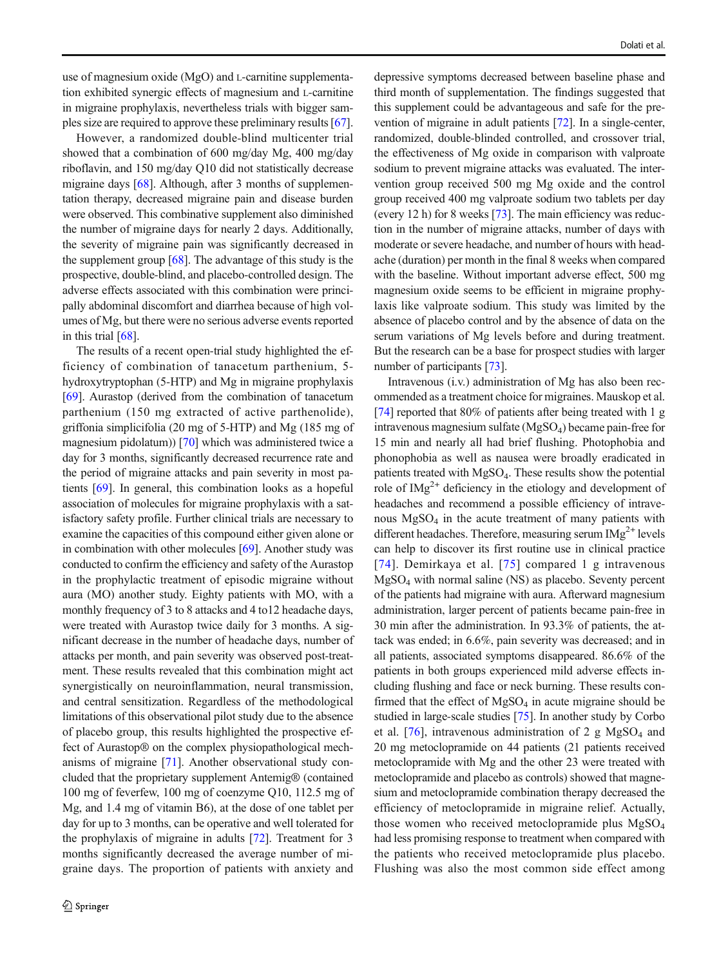use of magnesium oxide (MgO) and L-carnitine supplementation exhibited synergic effects of magnesium and L-carnitine in migraine prophylaxis, nevertheless trials with bigger samples size are required to approve these preliminary results [[67\]](#page-7-0).

However, a randomized double-blind multicenter trial showed that a combination of 600 mg/day Mg, 400 mg/day riboflavin, and 150 mg/day Q10 did not statistically decrease migraine days [\[68](#page-7-0)]. Although, after 3 months of supplementation therapy, decreased migraine pain and disease burden were observed. This combinative supplement also diminished the number of migraine days for nearly 2 days. Additionally, the severity of migraine pain was significantly decreased in the supplement group  $[68]$  $[68]$ . The advantage of this study is the prospective, double-blind, and placebo-controlled design. The adverse effects associated with this combination were principally abdominal discomfort and diarrhea because of high volumes of Mg, but there were no serious adverse events reported in this trial [[68\]](#page-7-0).

The results of a recent open-trial study highlighted the efficiency of combination of tanacetum parthenium, 5 hydroxytryptophan (5-HTP) and Mg in migraine prophylaxis [\[69\]](#page-7-0). Aurastop (derived from the combination of tanacetum parthenium (150 mg extracted of active parthenolide), griffonia simplicifolia (20 mg of 5-HTP) and Mg (185 mg of magnesium pidolatum)) [[70](#page-7-0)] which was administered twice a day for 3 months, significantly decreased recurrence rate and the period of migraine attacks and pain severity in most patients [[69\]](#page-7-0). In general, this combination looks as a hopeful association of molecules for migraine prophylaxis with a satisfactory safety profile. Further clinical trials are necessary to examine the capacities of this compound either given alone or in combination with other molecules  $[69]$  $[69]$ . Another study was conducted to confirm the efficiency and safety of the Aurastop in the prophylactic treatment of episodic migraine without aura (MO) another study. Eighty patients with MO, with a monthly frequency of 3 to 8 attacks and 4 to12 headache days, were treated with Aurastop twice daily for 3 months. A significant decrease in the number of headache days, number of attacks per month, and pain severity was observed post-treatment. These results revealed that this combination might act synergistically on neuroinflammation, neural transmission, and central sensitization. Regardless of the methodological limitations of this observational pilot study due to the absence of placebo group, this results highlighted the prospective effect of Aurastop® on the complex physiopathological mechanisms of migraine [\[71](#page-7-0)]. Another observational study concluded that the proprietary supplement Antemig® (contained 100 mg of feverfew, 100 mg of coenzyme Q10, 112.5 mg of Mg, and 1.4 mg of vitamin B6), at the dose of one tablet per day for up to 3 months, can be operative and well tolerated for the prophylaxis of migraine in adults [\[72\]](#page-7-0). Treatment for 3 months significantly decreased the average number of migraine days. The proportion of patients with anxiety and

depressive symptoms decreased between baseline phase and third month of supplementation. The findings suggested that this supplement could be advantageous and safe for the prevention of migraine in adult patients [[72](#page-7-0)]. In a single-center, randomized, double-blinded controlled, and crossover trial, the effectiveness of Mg oxide in comparison with valproate sodium to prevent migraine attacks was evaluated. The intervention group received 500 mg Mg oxide and the control group received 400 mg valproate sodium two tablets per day (every 12 h) for 8 weeks [\[73](#page-7-0)]. The main efficiency was reduction in the number of migraine attacks, number of days with moderate or severe headache, and number of hours with headache (duration) per month in the final 8 weeks when compared with the baseline. Without important adverse effect, 500 mg magnesium oxide seems to be efficient in migraine prophylaxis like valproate sodium. This study was limited by the absence of placebo control and by the absence of data on the serum variations of Mg levels before and during treatment. But the research can be a base for prospect studies with larger number of participants [[73\]](#page-7-0).

Intravenous (i.v.) administration of Mg has also been recommended as a treatment choice for migraines. Mauskop et al. [\[74](#page-7-0)] reported that 80% of patients after being treated with 1 g intravenous magnesium sulfate  $(MgSO<sub>4</sub>)$  became pain-free for 15 min and nearly all had brief flushing. Photophobia and phonophobia as well as nausea were broadly eradicated in patients treated with MgSO4. These results show the potential role of  $\text{IMg}^{2+}$  deficiency in the etiology and development of headaches and recommend a possible efficiency of intravenous MgSO4 in the acute treatment of many patients with different headaches. Therefore, measuring serum  $\text{IMg}^{2+}$  levels can help to discover its first routine use in clinical practice [[74](#page-7-0)]. Demirkaya et al. [[75](#page-7-0)] compared 1 g intravenous MgSO4 with normal saline (NS) as placebo. Seventy percent of the patients had migraine with aura. Afterward magnesium administration, larger percent of patients became pain-free in 30 min after the administration. In 93.3% of patients, the attack was ended; in 6.6%, pain severity was decreased; and in all patients, associated symptoms disappeared. 86.6% of the patients in both groups experienced mild adverse effects including flushing and face or neck burning. These results confirmed that the effect of  $MgSO<sub>4</sub>$  in acute migraine should be studied in large-scale studies [\[75](#page-7-0)]. In another study by Corbo et al. [[76](#page-7-0)], intravenous administration of 2 g  $MgSO<sub>4</sub>$  and 20 mg metoclopramide on 44 patients (21 patients received metoclopramide with Mg and the other 23 were treated with metoclopramide and placebo as controls) showed that magnesium and metoclopramide combination therapy decreased the efficiency of metoclopramide in migraine relief. Actually, those women who received metoclopramide plus MgSO4 had less promising response to treatment when compared with the patients who received metoclopramide plus placebo. Flushing was also the most common side effect among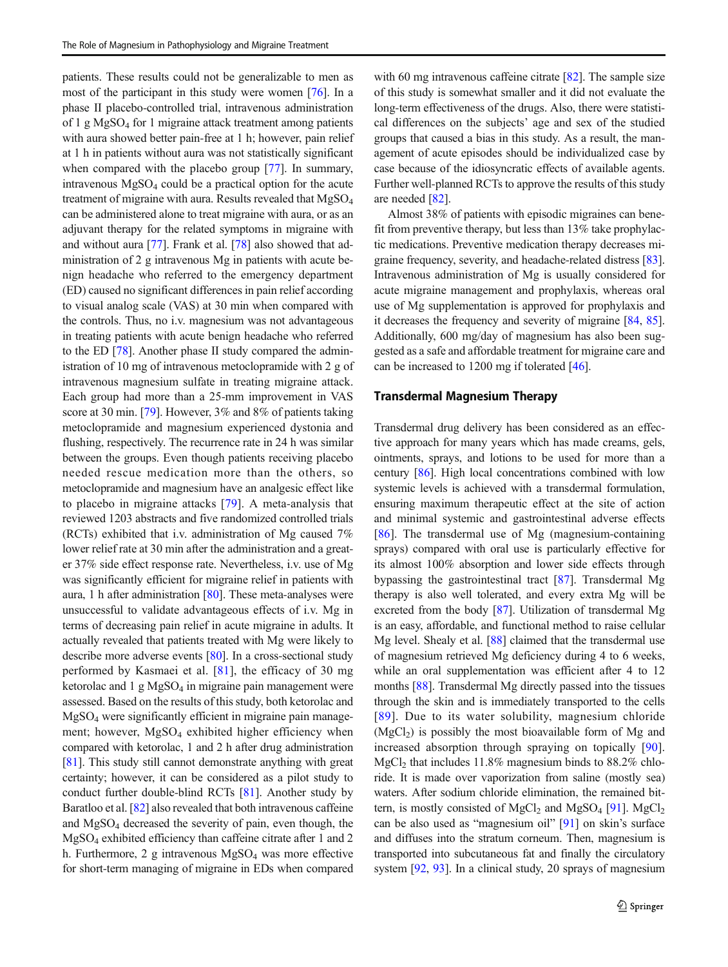patients. These results could not be generalizable to men as most of the participant in this study were women [[76](#page-7-0)]. In a phase II placebo-controlled trial, intravenous administration of 1 g  $MgSO<sub>4</sub>$  for 1 migraine attack treatment among patients with aura showed better pain-free at 1 h; however, pain relief at 1 h in patients without aura was not statistically significant when compared with the placebo group [[77](#page-7-0)]. In summary, intravenous  $MgSO<sub>4</sub>$  could be a practical option for the acute treatment of migraine with aura. Results revealed that  $MgSO<sub>4</sub>$ can be administered alone to treat migraine with aura, or as an adjuvant therapy for the related symptoms in migraine with and without aura [\[77](#page-7-0)]. Frank et al. [\[78](#page-7-0)] also showed that administration of 2 g intravenous Mg in patients with acute benign headache who referred to the emergency department (ED) caused no significant differences in pain relief according to visual analog scale (VAS) at 30 min when compared with the controls. Thus, no i.v. magnesium was not advantageous in treating patients with acute benign headache who referred to the ED [\[78\]](#page-7-0). Another phase II study compared the administration of 10 mg of intravenous metoclopramide with 2 g of intravenous magnesium sulfate in treating migraine attack. Each group had more than a 25-mm improvement in VAS score at 30 min. [[79\]](#page-7-0). However, 3% and 8% of patients taking metoclopramide and magnesium experienced dystonia and flushing, respectively. The recurrence rate in 24 h was similar between the groups. Even though patients receiving placebo needed rescue medication more than the others, so metoclopramide and magnesium have an analgesic effect like to placebo in migraine attacks [\[79](#page-7-0)]. A meta-analysis that reviewed 1203 abstracts and five randomized controlled trials (RCTs) exhibited that i.v. administration of Mg caused 7% lower relief rate at 30 min after the administration and a greater 37% side effect response rate. Nevertheless, i.v. use of Mg was significantly efficient for migraine relief in patients with aura, 1 h after administration [\[80](#page-7-0)]. These meta-analyses were unsuccessful to validate advantageous effects of i.v. Mg in terms of decreasing pain relief in acute migraine in adults. It actually revealed that patients treated with Mg were likely to describe more adverse events [[80\]](#page-7-0). In a cross-sectional study performed by Kasmaei et al. [[81](#page-8-0)], the efficacy of 30 mg ketorolac and  $1 \text{ g } MgSO_4$  in migraine pain management were assessed. Based on the results of this study, both ketorolac and MgSO4 were significantly efficient in migraine pain management; however, MgSO<sub>4</sub> exhibited higher efficiency when compared with ketorolac, 1 and 2 h after drug administration [\[81\]](#page-8-0). This study still cannot demonstrate anything with great certainty; however, it can be considered as a pilot study to conduct further double-blind RCTs [\[81\]](#page-8-0). Another study by Baratloo et al. [\[82\]](#page-8-0) also revealed that both intravenous caffeine and  $MgSO<sub>4</sub>$  decreased the severity of pain, even though, the MgSO4 exhibited efficiency than caffeine citrate after 1 and 2 h. Furthermore, 2 g intravenous  $MgSO<sub>4</sub>$  was more effective for short-term managing of migraine in EDs when compared

with 60 mg intravenous caffeine citrate [[82](#page-8-0)]. The sample size of this study is somewhat smaller and it did not evaluate the long-term effectiveness of the drugs. Also, there were statistical differences on the subjects' age and sex of the studied groups that caused a bias in this study. As a result, the management of acute episodes should be individualized case by case because of the idiosyncratic effects of available agents. Further well-planned RCTs to approve the results of this study are needed [[82\]](#page-8-0).

Almost 38% of patients with episodic migraines can benefit from preventive therapy, but less than 13% take prophylactic medications. Preventive medication therapy decreases migraine frequency, severity, and headache-related distress [[83\]](#page-8-0). Intravenous administration of Mg is usually considered for acute migraine management and prophylaxis, whereas oral use of Mg supplementation is approved for prophylaxis and it decreases the frequency and severity of migraine [[84](#page-8-0), [85\]](#page-8-0). Additionally, 600 mg/day of magnesium has also been suggested as a safe and affordable treatment for migraine care and can be increased to 1200 mg if tolerated [[46](#page-7-0)].

#### Transdermal Magnesium Therapy

Transdermal drug delivery has been considered as an effective approach for many years which has made creams, gels, ointments, sprays, and lotions to be used for more than a century [\[86\]](#page-8-0). High local concentrations combined with low systemic levels is achieved with a transdermal formulation, ensuring maximum therapeutic effect at the site of action and minimal systemic and gastrointestinal adverse effects [\[86](#page-8-0)]. The transdermal use of Mg (magnesium-containing sprays) compared with oral use is particularly effective for its almost 100% absorption and lower side effects through bypassing the gastrointestinal tract [\[87](#page-8-0)]. Transdermal Mg therapy is also well tolerated, and every extra Mg will be excreted from the body [\[87](#page-8-0)]. Utilization of transdermal Mg is an easy, affordable, and functional method to raise cellular Mg level. Shealy et al. [\[88](#page-8-0)] claimed that the transdermal use of magnesium retrieved Mg deficiency during 4 to 6 weeks, while an oral supplementation was efficient after 4 to 12 months [[88](#page-8-0)]. Transdermal Mg directly passed into the tissues through the skin and is immediately transported to the cells [[89](#page-8-0)]. Due to its water solubility, magnesium chloride  $(MgCl<sub>2</sub>)$  is possibly the most bioavailable form of Mg and increased absorption through spraying on topically [\[90](#page-8-0)]. MgCl<sub>2</sub> that includes  $11.8\%$  magnesium binds to  $88.2\%$  chloride. It is made over vaporization from saline (mostly sea) waters. After sodium chloride elimination, the remained bit-tern, is mostly consisted of MgCl<sub>2</sub> and MgSO<sub>4</sub> [\[91\]](#page-8-0). MgCl<sub>2</sub> can be also used as "magnesium oil" [[91\]](#page-8-0) on skin's surface and diffuses into the stratum corneum. Then, magnesium is transported into subcutaneous fat and finally the circulatory system [\[92,](#page-8-0) [93](#page-8-0)]. In a clinical study, 20 sprays of magnesium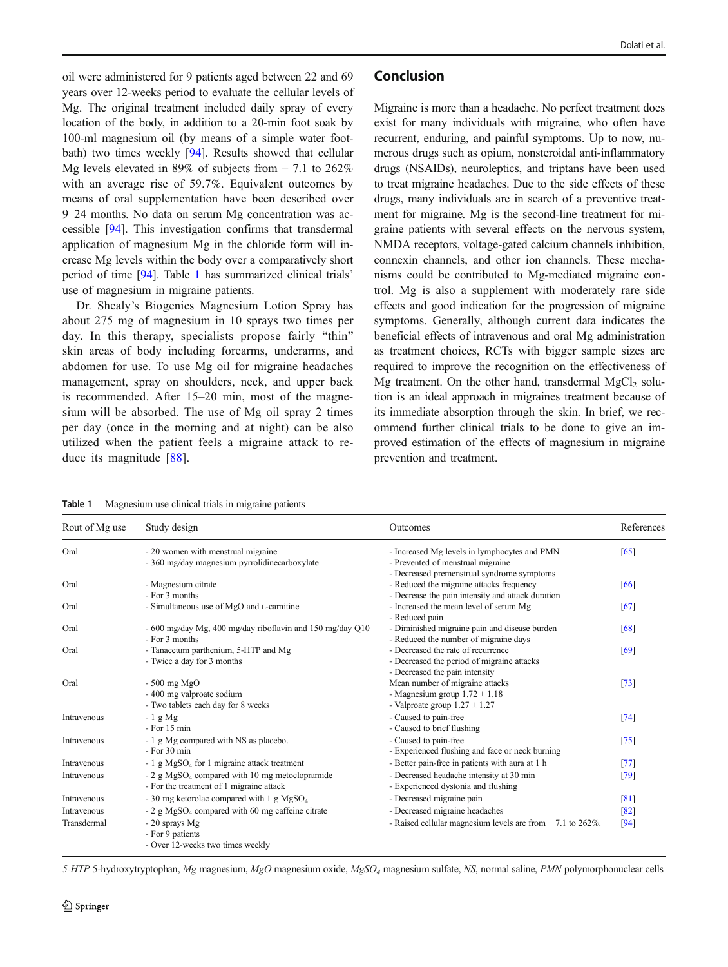oil were administered for 9 patients aged between 22 and 69 years over 12-weeks period to evaluate the cellular levels of Mg. The original treatment included daily spray of every location of the body, in addition to a 20-min foot soak by 100-ml magnesium oil (by means of a simple water footbath) two times weekly [\[94\]](#page-8-0). Results showed that cellular Mg levels elevated in 89% of subjects from − 7.1 to 262% with an average rise of 59.7%. Equivalent outcomes by means of oral supplementation have been described over 9–24 months. No data on serum Mg concentration was accessible [\[94](#page-8-0)]. This investigation confirms that transdermal application of magnesium Mg in the chloride form will increase Mg levels within the body over a comparatively short period of time [\[94\]](#page-8-0). Table 1 has summarized clinical trials' use of magnesium in migraine patients.

Dr. Shealy's Biogenics Magnesium Lotion Spray has about 275 mg of magnesium in 10 sprays two times per day. In this therapy, specialists propose fairly "thin" skin areas of body including forearms, underarms, and abdomen for use. To use Mg oil for migraine headaches management, spray on shoulders, neck, and upper back is recommended. After 15–20 min, most of the magnesium will be absorbed. The use of Mg oil spray 2 times per day (once in the morning and at night) can be also utilized when the patient feels a migraine attack to reduce its magnitude [\[88](#page-8-0)].

#### Conclusion

Migraine is more than a headache. No perfect treatment does exist for many individuals with migraine, who often have recurrent, enduring, and painful symptoms. Up to now, numerous drugs such as opium, nonsteroidal anti-inflammatory drugs (NSAIDs), neuroleptics, and triptans have been used to treat migraine headaches. Due to the side effects of these drugs, many individuals are in search of a preventive treatment for migraine. Mg is the second-line treatment for migraine patients with several effects on the nervous system, NMDA receptors, voltage-gated calcium channels inhibition, connexin channels, and other ion channels. These mechanisms could be contributed to Mg-mediated migraine control. Mg is also a supplement with moderately rare side effects and good indication for the progression of migraine symptoms. Generally, although current data indicates the beneficial effects of intravenous and oral Mg administration as treatment choices, RCTs with bigger sample sizes are required to improve the recognition on the effectiveness of Mg treatment. On the other hand, transdermal  $MgCl<sub>2</sub>$  solution is an ideal approach in migraines treatment because of its immediate absorption through the skin. In brief, we recommend further clinical trials to be done to give an improved estimation of the effects of magnesium in migraine prevention and treatment.

| Table 1 | Magnesium use clinical trials in migraine patients |  |  |  |  |
|---------|----------------------------------------------------|--|--|--|--|
|---------|----------------------------------------------------|--|--|--|--|

| Rout of Mg use | Study design                                                                                           | Outcomes                                                                                                                                    | References |
|----------------|--------------------------------------------------------------------------------------------------------|---------------------------------------------------------------------------------------------------------------------------------------------|------------|
| Oral           | - 20 women with menstrual migraine<br>- 360 mg/day magnesium pyrrolidinecarboxylate                    | - Increased Mg levels in lymphocytes and PMN<br>- Prevented of menstrual migraine                                                           | [65]       |
| Oral           | - Magnesium citrate<br>- For 3 months                                                                  | - Decreased premenstrual syndrome symptoms<br>- Reduced the migraine attacks frequency<br>- Decrease the pain intensity and attack duration | [66]       |
| Oral           | - Simultaneous use of MgO and L-carnitine                                                              | - Increased the mean level of serum Mg<br>- Reduced pain                                                                                    | [67]       |
| Oral           | - 600 mg/day Mg, 400 mg/day riboflavin and 150 mg/day Q10<br>- For 3 months                            | - Diminished migraine pain and disease burden<br>- Reduced the number of migraine days                                                      | [68]       |
| Oral           | - Tanacetum parthenium, 5-HTP and Mg<br>- Twice a day for 3 months                                     | - Decreased the rate of recurrence<br>- Decreased the period of migraine attacks<br>- Decreased the pain intensity                          | [69]       |
| Oral           | $-500$ mg MgO<br>- 400 mg valproate sodium<br>- Two tablets each day for 8 weeks                       | Mean number of migraine attacks<br>- Magnesium group $1.72 \pm 1.18$<br>- Valproate group $1.27 \pm 1.27$                                   | $[73]$     |
| Intravenous    | $-1$ g Mg<br>$-$ For 15 min                                                                            | - Caused to pain-free<br>- Caused to brief flushing                                                                                         | [74]       |
| Intravenous    | - 1 g Mg compared with NS as placebo.<br>$-$ For 30 min                                                | - Caused to pain-free<br>- Experienced flushing and face or neck burning                                                                    | [75]       |
| Intravenous    | - 1 g MgSO <sub>4</sub> for 1 migraine attack treatment                                                | - Better pain-free in patients with aura at 1 h                                                                                             | [77]       |
| Intravenous    | - 2 g MgSO <sub>4</sub> compared with 10 mg metoclopramide<br>- For the treatment of 1 migraine attack | - Decreased headache intensity at 30 min<br>- Experienced dystonia and flushing                                                             | [79]       |
| Intravenous    | - 30 mg ketorolac compared with 1 g MgSO <sub>4</sub>                                                  | - Decreased migraine pain                                                                                                                   | [81]       |
| Intravenous    | $-2$ g MgSO <sub>4</sub> compared with 60 mg caffeine citrate                                          | - Decreased migraine headaches                                                                                                              | $[82]$     |
| Transdermal    | - 20 sprays Mg<br>- For 9 patients<br>- Over 12-weeks two times weekly                                 | - Raised cellular magnesium levels are from $-7.1$ to $262\%$ .                                                                             | $[94]$     |

5-HTP 5-hydroxytryptophan, Mg magnesium, MgO magnesium oxide, MgSO4 magnesium sulfate, NS, normal saline, PMN polymorphonuclear cells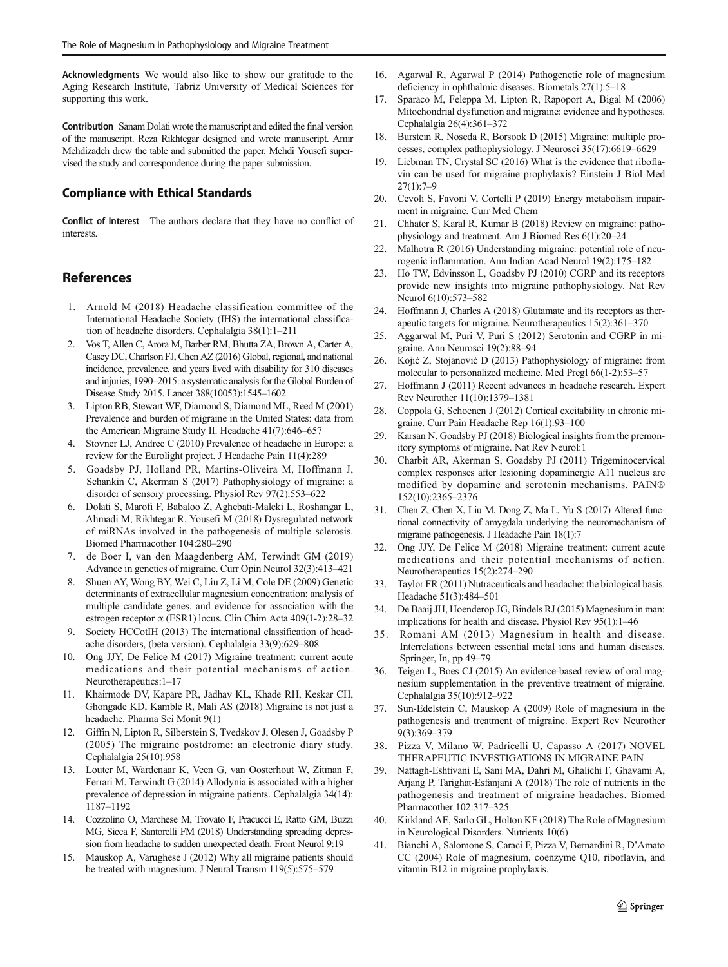<span id="page-6-0"></span>Acknowledgments We would also like to show our gratitude to the Aging Research Institute, Tabriz University of Medical Sciences for supporting this work.

Contribution Sanam Dolati wrote the manuscript and edited the final version of the manuscript. Reza Rikhtegar designed and wrote manuscript. Amir Mehdizadeh drew the table and submitted the paper. Mehdi Yousefi supervised the study and correspondence during the paper submission.

#### Compliance with Ethical Standards

Conflict of Interest The authors declare that they have no conflict of **interests** 

# References

- 1. Arnold M (2018) Headache classification committee of the International Headache Society (IHS) the international classification of headache disorders. Cephalalgia 38(1):1–211
- 2. Vos T, Allen C, Arora M, Barber RM, Bhutta ZA, Brown A, Carter A, Casey DC, Charlson FJ, Chen AZ (2016) Global, regional, and national incidence, prevalence, and years lived with disability for 310 diseases and injuries, 1990–2015: a systematic analysis for the Global Burden of Disease Study 2015. Lancet 388(10053):1545–1602
- 3. Lipton RB, Stewart WF, Diamond S, Diamond ML, Reed M (2001) Prevalence and burden of migraine in the United States: data from the American Migraine Study II. Headache 41(7):646–657
- 4. Stovner LJ, Andree C (2010) Prevalence of headache in Europe: a review for the Eurolight project. J Headache Pain 11(4):289
- 5. Goadsby PJ, Holland PR, Martins-Oliveira M, Hoffmann J, Schankin C, Akerman S (2017) Pathophysiology of migraine: a disorder of sensory processing. Physiol Rev 97(2):553–622
- 6. Dolati S, Marofi F, Babaloo Z, Aghebati-Maleki L, Roshangar L, Ahmadi M, Rikhtegar R, Yousefi M (2018) Dysregulated network of miRNAs involved in the pathogenesis of multiple sclerosis. Biomed Pharmacother 104:280–290
- 7. de Boer I, van den Maagdenberg AM, Terwindt GM (2019) Advance in genetics of migraine. Curr Opin Neurol 32(3):413–421
- 8. Shuen AY, Wong BY, Wei C, Liu Z, Li M, Cole DE (2009) Genetic determinants of extracellular magnesium concentration: analysis of multiple candidate genes, and evidence for association with the estrogen receptor α (ESR1) locus. Clin Chim Acta 409(1-2):28–32
- 9. Society HCCotIH (2013) The international classification of headache disorders, (beta version). Cephalalgia 33(9):629–808
- 10. Ong JJY, De Felice M (2017) Migraine treatment: current acute medications and their potential mechanisms of action. Neurotherapeutics:1–17
- 11. Khairmode DV, Kapare PR, Jadhav KL, Khade RH, Keskar CH, Ghongade KD, Kamble R, Mali AS (2018) Migraine is not just a headache. Pharma Sci Monit 9(1)
- 12. Giffin N, Lipton R, Silberstein S, Tvedskov J, Olesen J, Goadsby P (2005) The migraine postdrome: an electronic diary study. Cephalalgia 25(10):958
- 13. Louter M, Wardenaar K, Veen G, van Oosterhout W, Zitman F, Ferrari M, Terwindt G (2014) Allodynia is associated with a higher prevalence of depression in migraine patients. Cephalalgia 34(14): 1187–1192
- 14. Cozzolino O, Marchese M, Trovato F, Pracucci E, Ratto GM, Buzzi MG, Sicca F, Santorelli FM (2018) Understanding spreading depression from headache to sudden unexpected death. Front Neurol 9:19
- 15. Mauskop A, Varughese J (2012) Why all migraine patients should be treated with magnesium. J Neural Transm 119(5):575–579
- 16. Agarwal R, Agarwal P (2014) Pathogenetic role of magnesium deficiency in ophthalmic diseases. Biometals 27(1):5–18
- 17. Sparaco M, Feleppa M, Lipton R, Rapoport A, Bigal M (2006) Mitochondrial dysfunction and migraine: evidence and hypotheses. Cephalalgia 26(4):361–372
- 18. Burstein R, Noseda R, Borsook D (2015) Migraine: multiple processes, complex pathophysiology. J Neurosci 35(17):6619–6629
- 19. Liebman TN, Crystal SC (2016) What is the evidence that riboflavin can be used for migraine prophylaxis? Einstein J Biol Med 27(1):7–9
- 20. Cevoli S, Favoni V, Cortelli P (2019) Energy metabolism impairment in migraine. Curr Med Chem
- 21. Chhater S, Karal R, Kumar B (2018) Review on migraine: pathophysiology and treatment. Am J Biomed Res 6(1):20–24
- 22. Malhotra R (2016) Understanding migraine: potential role of neurogenic inflammation. Ann Indian Acad Neurol 19(2):175–182
- 23. Ho TW, Edvinsson L, Goadsby PJ (2010) CGRP and its receptors provide new insights into migraine pathophysiology. Nat Rev Neurol 6(10):573–582
- 24. Hoffmann J, Charles A (2018) Glutamate and its receptors as therapeutic targets for migraine. Neurotherapeutics 15(2):361–370
- 25. Aggarwal M, Puri V, Puri S (2012) Serotonin and CGRP in migraine. Ann Neurosci 19(2):88–94
- 26. Kojić Z, Stojanović D (2013) Pathophysiology of migraine: from molecular to personalized medicine. Med Pregl 66(1-2):53–57
- 27. Hoffmann J (2011) Recent advances in headache research. Expert Rev Neurother 11(10):1379–1381
- 28. Coppola G, Schoenen J (2012) Cortical excitability in chronic migraine. Curr Pain Headache Rep 16(1):93–100
- 29. Karsan N, Goadsby PJ (2018) Biological insights from the premonitory symptoms of migraine. Nat Rev Neurol:1
- 30. Charbit AR, Akerman S, Goadsby PJ (2011) Trigeminocervical complex responses after lesioning dopaminergic A11 nucleus are modified by dopamine and serotonin mechanisms. PAIN® 152(10):2365–2376
- 31. Chen Z, Chen X, Liu M, Dong Z, Ma L, Yu S (2017) Altered functional connectivity of amygdala underlying the neuromechanism of migraine pathogenesis. J Headache Pain 18(1):7
- 32. Ong JJY, De Felice M (2018) Migraine treatment: current acute medications and their potential mechanisms of action. Neurotherapeutics 15(2):274–290
- 33. Taylor FR (2011) Nutraceuticals and headache: the biological basis. Headache 51(3):484–501
- 34. De Baaij JH, Hoenderop JG, Bindels RJ (2015) Magnesium in man: implications for health and disease. Physiol Rev 95(1):1–46
- 35. Romani AM (2013) Magnesium in health and disease. Interrelations between essential metal ions and human diseases. Springer, In, pp 49–79
- 36. Teigen L, Boes CJ (2015) An evidence-based review of oral magnesium supplementation in the preventive treatment of migraine. Cephalalgia 35(10):912–922
- 37. Sun-Edelstein C, Mauskop A (2009) Role of magnesium in the pathogenesis and treatment of migraine. Expert Rev Neurother 9(3):369–379
- 38. Pizza V, Milano W, Padricelli U, Capasso A (2017) NOVEL THERAPEUTIC INVESTIGATIONS IN MIGRAINE PAIN
- 39. Nattagh-Eshtivani E, Sani MA, Dahri M, Ghalichi F, Ghavami A, Arjang P, Tarighat-Esfanjani A (2018) The role of nutrients in the pathogenesis and treatment of migraine headaches. Biomed Pharmacother 102:317–325
- 40. Kirkland AE, Sarlo GL, Holton KF (2018) The Role of Magnesium in Neurological Disorders. Nutrients 10(6)
- 41. Bianchi A, Salomone S, Caraci F, Pizza V, Bernardini R, D'Amato CC (2004) Role of magnesium, coenzyme Q10, riboflavin, and vitamin B12 in migraine prophylaxis.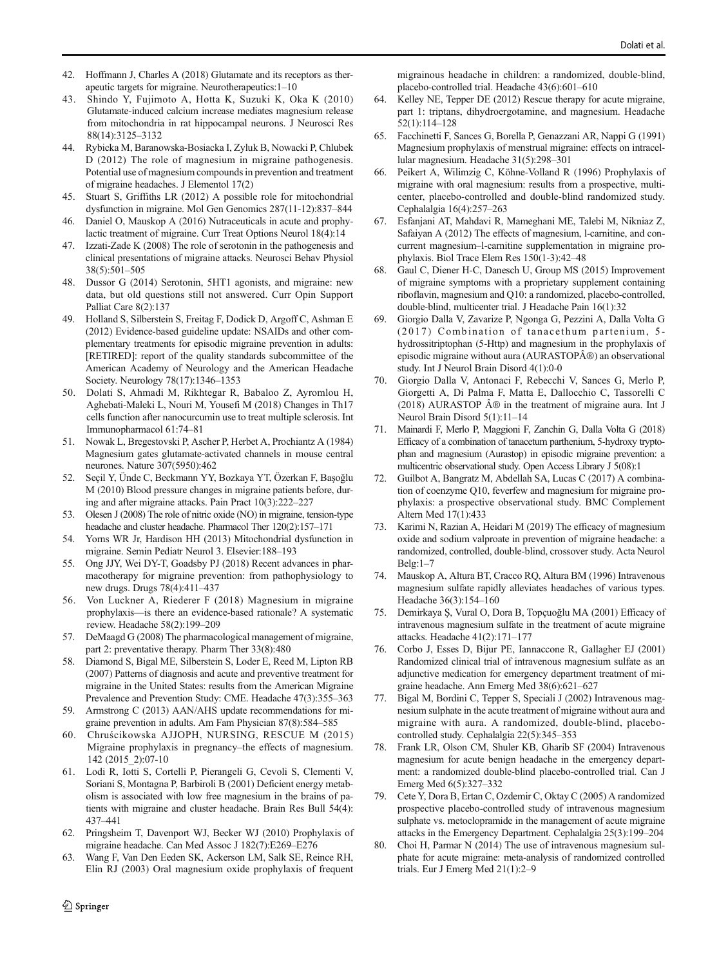- <span id="page-7-0"></span>42. Hoffmann J, Charles A (2018) Glutamate and its receptors as therapeutic targets for migraine. Neurotherapeutics:1–10
- 43. Shindo Y, Fujimoto A, Hotta K, Suzuki K, Oka K (2010) Glutamate-induced calcium increase mediates magnesium release from mitochondria in rat hippocampal neurons. J Neurosci Res 88(14):3125–3132
- 44. Rybicka M, Baranowska-Bosiacka I, Zyluk B, Nowacki P, Chlubek D (2012) The role of magnesium in migraine pathogenesis. Potential use of magnesium compounds in prevention and treatment of migraine headaches. J Elementol 17(2)
- 45. Stuart S, Griffiths LR (2012) A possible role for mitochondrial dysfunction in migraine. Mol Gen Genomics 287(11-12):837–844
- 46. Daniel O, Mauskop A (2016) Nutraceuticals in acute and prophylactic treatment of migraine. Curr Treat Options Neurol 18(4):14
- 47. Izzati-Zade K (2008) The role of serotonin in the pathogenesis and clinical presentations of migraine attacks. Neurosci Behav Physiol 38(5):501–505
- 48. Dussor G (2014) Serotonin, 5HT1 agonists, and migraine: new data, but old questions still not answered. Curr Opin Support Palliat Care 8(2):137
- 49. Holland S, Silberstein S, Freitag F, Dodick D, Argoff C, Ashman E (2012) Evidence-based guideline update: NSAIDs and other complementary treatments for episodic migraine prevention in adults: [RETIRED]: report of the quality standards subcommittee of the American Academy of Neurology and the American Headache Society. Neurology 78(17):1346–1353
- 50. Dolati S, Ahmadi M, Rikhtegar R, Babaloo Z, Ayromlou H, Aghebati-Maleki L, Nouri M, Yousefi M (2018) Changes in Th17 cells function after nanocurcumin use to treat multiple sclerosis. Int Immunopharmacol 61:74–81
- 51. Nowak L, Bregestovski P, Ascher P, Herbet A, Prochiantz A (1984) Magnesium gates glutamate-activated channels in mouse central neurones. Nature 307(5950):462
- 52. Seçil Y, Ünde C, Beckmann YY, Bozkaya YT, Özerkan F, Başoğlu M (2010) Blood pressure changes in migraine patients before, during and after migraine attacks. Pain Pract 10(3):222–227
- 53. Olesen J (2008) The role of nitric oxide (NO) in migraine, tension-type headache and cluster headache. Pharmacol Ther 120(2):157–171
- 54. Yorns WR Jr, Hardison HH (2013) Mitochondrial dysfunction in migraine. Semin Pediatr Neurol 3. Elsevier:188–193
- 55. Ong JJY, Wei DY-T, Goadsby PJ (2018) Recent advances in pharmacotherapy for migraine prevention: from pathophysiology to new drugs. Drugs 78(4):411–437
- 56. Von Luckner A, Riederer F (2018) Magnesium in migraine prophylaxis—is there an evidence-based rationale? A systematic review. Headache 58(2):199–209
- 57. DeMaagd G (2008) The pharmacological management of migraine, part 2: preventative therapy. Pharm Ther 33(8):480
- 58. Diamond S, Bigal ME, Silberstein S, Loder E, Reed M, Lipton RB (2007) Patterns of diagnosis and acute and preventive treatment for migraine in the United States: results from the American Migraine Prevalence and Prevention Study: CME. Headache 47(3):355–363
- 59. Armstrong C (2013) AAN/AHS update recommendations for migraine prevention in adults. Am Fam Physician 87(8):584–585
- 60. Chruścikowska AJJOPH, NURSING, RESCUE M (2015) Migraine prophylaxis in pregnancy–the effects of magnesium. 142 (2015\_2):07-10
- 61. Lodi R, Iotti S, Cortelli P, Pierangeli G, Cevoli S, Clementi V, Soriani S, Montagna P, Barbiroli B (2001) Deficient energy metabolism is associated with low free magnesium in the brains of patients with migraine and cluster headache. Brain Res Bull 54(4): 437–441
- 62. Pringsheim T, Davenport WJ, Becker WJ (2010) Prophylaxis of migraine headache. Can Med Assoc J 182(7):E269–E276
- 63. Wang F, Van Den Eeden SK, Ackerson LM, Salk SE, Reince RH, Elin RJ (2003) Oral magnesium oxide prophylaxis of frequent

migrainous headache in children: a randomized, double-blind, placebo-controlled trial. Headache 43(6):601–610

- Kelley NE, Tepper DE (2012) Rescue therapy for acute migraine, part 1: triptans, dihydroergotamine, and magnesium. Headache 52(1):114–128
- 65. Facchinetti F, Sances G, Borella P, Genazzani AR, Nappi G (1991) Magnesium prophylaxis of menstrual migraine: effects on intracellular magnesium. Headache 31(5):298–301
- 66. Peikert A, Wilimzig C, Köhne-Volland R (1996) Prophylaxis of migraine with oral magnesium: results from a prospective, multicenter, placebo-controlled and double-blind randomized study. Cephalalgia 16(4):257–263
- 67. Esfanjani AT, Mahdavi R, Mameghani ME, Talebi M, Nikniaz Z, Safaiyan A (2012) The effects of magnesium, l-carnitine, and concurrent magnesium–l-carnitine supplementation in migraine prophylaxis. Biol Trace Elem Res 150(1-3):42–48
- 68. Gaul C, Diener H-C, Danesch U, Group MS (2015) Improvement of migraine symptoms with a proprietary supplement containing riboflavin, magnesium and Q10: a randomized, placebo-controlled, double-blind, multicenter trial. J Headache Pain 16(1):32
- 69. Giorgio Dalla V, Zavarize P, Ngonga G, Pezzini A, Dalla Volta G (2017) Combination of tanacethum partenium, 5hydrossitriptophan (5-Http) and magnesium in the prophylaxis of episodic migraine without aura (AURASTOPÄ®) an observational study. Int J Neurol Brain Disord 4(1):0-0
- 70. Giorgio Dalla V, Antonaci F, Rebecchi V, Sances G, Merlo P, Giorgetti A, Di Palma F, Matta E, Dallocchio C, Tassorelli C  $(2018)$  AURASTOP  $\hat{A} \otimes$  in the treatment of migraine aura. Int J Neurol Brain Disord 5(1):11–14
- 71. Mainardi F, Merlo P, Maggioni F, Zanchin G, Dalla Volta G (2018) Efficacy of a combination of tanacetum parthenium, 5-hydroxy tryptophan and magnesium (Aurastop) in episodic migraine prevention: a multicentric observational study. Open Access Library J 5(08):1
- 72. Guilbot A, Bangratz M, Abdellah SA, Lucas C (2017) A combination of coenzyme Q10, feverfew and magnesium for migraine prophylaxis: a prospective observational study. BMC Complement Altern Med 17(1):433
- 73. Karimi N, Razian A, Heidari M (2019) The efficacy of magnesium oxide and sodium valproate in prevention of migraine headache: a randomized, controlled, double-blind, crossover study. Acta Neurol Belg:1–7
- 74. Mauskop A, Altura BT, Cracco RQ, Altura BM (1996) Intravenous magnesium sulfate rapidly alleviates headaches of various types. Headache 36(3):154–160
- 75. Demirkaya Ş, Vural O, Dora B, Topçuoğlu MA (2001) Efficacy of intravenous magnesium sulfate in the treatment of acute migraine attacks. Headache 41(2):171–177
- 76. Corbo J, Esses D, Bijur PE, Iannaccone R, Gallagher EJ (2001) Randomized clinical trial of intravenous magnesium sulfate as an adjunctive medication for emergency department treatment of migraine headache. Ann Emerg Med 38(6):621–627
- 77. Bigal M, Bordini C, Tepper S, Speciali J (2002) Intravenous magnesium sulphate in the acute treatment of migraine without aura and migraine with aura. A randomized, double-blind, placebocontrolled study. Cephalalgia 22(5):345–353
- 78. Frank LR, Olson CM, Shuler KB, Gharib SF (2004) Intravenous magnesium for acute benign headache in the emergency department: a randomized double-blind placebo-controlled trial. Can J Emerg Med 6(5):327–332
- 79. Cete Y, Dora B, Ertan C, Ozdemir C, Oktay C (2005) A randomized prospective placebo-controlled study of intravenous magnesium sulphate vs. metoclopramide in the management of acute migraine attacks in the Emergency Department. Cephalalgia 25(3):199–204
- 80. Choi H, Parmar N (2014) The use of intravenous magnesium sulphate for acute migraine: meta-analysis of randomized controlled trials. Eur J Emerg Med 21(1):2–9